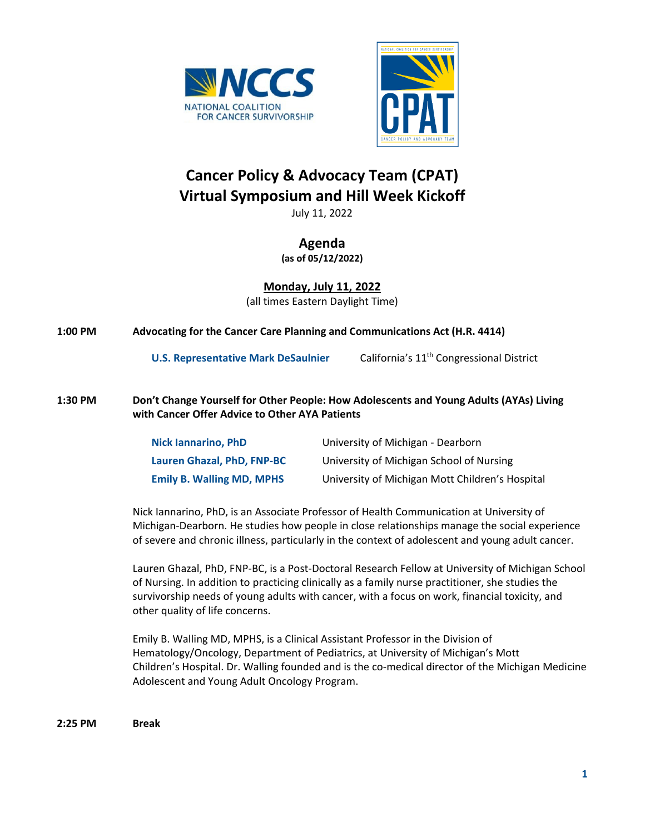



# **Cancer Policy & Advocacy Team (CPAT) Virtual Symposium and Hill Week Kickoff**

July 11, 2022

## **Agenda**

**(as of 05/12/2022)**

**Monday, July 11, 2022** (all times Eastern Daylight Time)

| $1:00$ PM | Advocating for the Cancer Care Planning and Communications Act (H.R. 4414) |  |
|-----------|----------------------------------------------------------------------------|--|
|           |                                                                            |  |

**U.S. Representative Mark DeSaulnier** California's 11<sup>th</sup> Congressional District

### **1:30 PM Don't Change Yourself for Other People: How Adolescents and Young Adults (AYAs) Living with Cancer Offer Advice to Other AYA Patients**

| <b>Nick lannarino, PhD</b>       | University of Michigan - Dearborn               |
|----------------------------------|-------------------------------------------------|
| Lauren Ghazal, PhD, FNP-BC       | University of Michigan School of Nursing        |
| <b>Emily B. Walling MD, MPHS</b> | University of Michigan Mott Children's Hospital |

Nick Iannarino, PhD, is an Associate Professor of Health Communication at University of Michigan-Dearborn. He studies how people in close relationships manage the social experience of severe and chronic illness, particularly in the context of adolescent and young adult cancer.

Lauren Ghazal, PhD, FNP-BC, is a Post-Doctoral Research Fellow at University of Michigan School of Nursing. In addition to practicing clinically as a family nurse practitioner, she studies the survivorship needs of young adults with cancer, with a focus on work, financial toxicity, and other quality of life concerns.

Emily B. Walling MD, MPHS, is a Clinical Assistant Professor in the Division of Hematology/Oncology, Department of Pediatrics, at University of Michigan's Mott Children's Hospital. Dr. Walling founded and is the co-medical director of the Michigan Medicine Adolescent and Young Adult Oncology Program.

**2:25 PM Break**